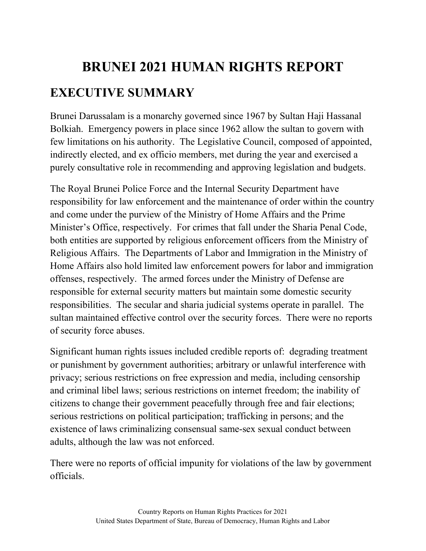# **BRUNEI 2021 HUMAN RIGHTS REPORT EXECUTIVE SUMMARY**

Brunei Darussalam is a monarchy governed since 1967 by Sultan Haji Hassanal Bolkiah. Emergency powers in place since 1962 allow the sultan to govern with few limitations on his authority. The Legislative Council, composed of appointed, indirectly elected, and ex officio members, met during the year and exercised a purely consultative role in recommending and approving legislation and budgets.

The Royal Brunei Police Force and the Internal Security Department have responsibility for law enforcement and the maintenance of order within the country and come under the purview of the Ministry of Home Affairs and the Prime Minister's Office, respectively. For crimes that fall under the Sharia Penal Code, both entities are supported by religious enforcement officers from the Ministry of Religious Affairs. The Departments of Labor and Immigration in the Ministry of Home Affairs also hold limited law enforcement powers for labor and immigration offenses, respectively. The armed forces under the Ministry of Defense are responsible for external security matters but maintain some domestic security responsibilities. The secular and sharia judicial systems operate in parallel. The sultan maintained effective control over the security forces. There were no reports of security force abuses.

Significant human rights issues included credible reports of: degrading treatment or punishment by government authorities; arbitrary or unlawful interference with privacy; serious restrictions on free expression and media, including censorship and criminal libel laws; serious restrictions on internet freedom; the inability of citizens to change their government peacefully through free and fair elections; serious restrictions on political participation; trafficking in persons; and the existence of laws criminalizing consensual same-sex sexual conduct between adults, although the law was not enforced.

There were no reports of official impunity for violations of the law by government officials.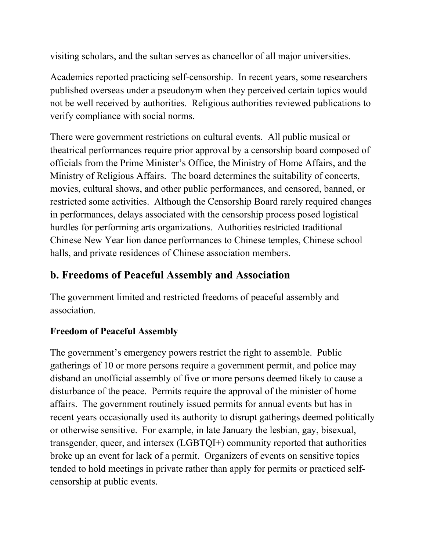visiting scholars, and the sultan serves as chancellor of all major universities.

Academics reported practicing self-censorship. In recent years, some researchers published overseas under a pseudonym when they perceived certain topics would not be well received by authorities. Religious authorities reviewed publications to verify compliance with social norms.

There were government restrictions on cultural events. All public musical or theatrical performances require prior approval by a censorship board composed of officials from the Prime Minister's Office, the Ministry of Home Affairs, and the Ministry of Religious Affairs. The board determines the suitability of concerts, movies, cultural shows, and other public performances, and censored, banned, or restricted some activities. Although the Censorship Board rarely required changes in performances, delays associated with the censorship process posed logistical hurdles for performing arts organizations. Authorities restricted traditional Chinese New Year lion dance performances to Chinese temples, Chinese school halls, and private residences of Chinese association members.

#### **b. Freedoms of Peaceful Assembly and Association**

The government limited and restricted freedoms of peaceful assembly and association.

#### **Freedom of Peaceful Assembly**

The government's emergency powers restrict the right to assemble. Public gatherings of 10 or more persons require a government permit, and police may disband an unofficial assembly of five or more persons deemed likely to cause a disturbance of the peace. Permits require the approval of the minister of home affairs. The government routinely issued permits for annual events but has in recent years occasionally used its authority to disrupt gatherings deemed politically or otherwise sensitive. For example, in late January the lesbian, gay, bisexual, transgender, queer, and intersex (LGBTQI+) community reported that authorities broke up an event for lack of a permit. Organizers of events on sensitive topics tended to hold meetings in private rather than apply for permits or practiced selfcensorship at public events.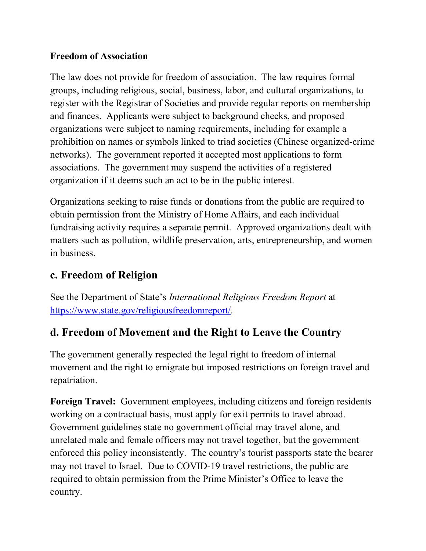#### **Freedom of Association**

The law does not provide for freedom of association. The law requires formal groups, including religious, social, business, labor, and cultural organizations, to register with the Registrar of Societies and provide regular reports on membership and finances. Applicants were subject to background checks, and proposed organizations were subject to naming requirements, including for example a prohibition on names or symbols linked to triad societies (Chinese organized-crime networks). The government reported it accepted most applications to form associations. The government may suspend the activities of a registered organization if it deems such an act to be in the public interest.

Organizations seeking to raise funds or donations from the public are required to obtain permission from the Ministry of Home Affairs, and each individual fundraising activity requires a separate permit. Approved organizations dealt with matters such as pollution, wildlife preservation, arts, entrepreneurship, and women in business.

#### **c. Freedom of Religion**

See the Department of State's *International Religious Freedom Report* at [https://www.state.gov/religiousfreedomreport/.](https://www.state.gov/religiousfreedomreport/)

#### **d. Freedom of Movement and the Right to Leave the Country**

The government generally respected the legal right to freedom of internal movement and the right to emigrate but imposed restrictions on foreign travel and repatriation.

**Foreign Travel:** Government employees, including citizens and foreign residents working on a contractual basis, must apply for exit permits to travel abroad. Government guidelines state no government official may travel alone, and unrelated male and female officers may not travel together, but the government enforced this policy inconsistently. The country's tourist passports state the bearer may not travel to Israel. Due to COVID-19 travel restrictions, the public are required to obtain permission from the Prime Minister's Office to leave the country.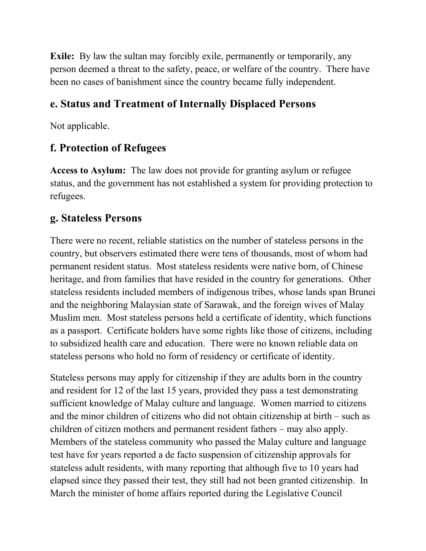**Exile:** By law the sultan may forcibly exile, permanently or temporarily, any person deemed a threat to the safety, peace, or welfare of the country. There have been no cases of banishment since the country became fully independent.

#### **e. Status and Treatment of Internally Displaced Persons**

Not applicable.

### **f. Protection of Refugees**

**Access to Asylum:** The law does not provide for granting asylum or refugee status, and the government has not established a system for providing protection to refugees.

#### **g. Stateless Persons**

There were no recent, reliable statistics on the number of stateless persons in the country, but observers estimated there were tens of thousands, most of whom had permanent resident status. Most stateless residents were native born, of Chinese heritage, and from families that have resided in the country for generations. Other stateless residents included members of indigenous tribes, whose lands span Brunei and the neighboring Malaysian state of Sarawak, and the foreign wives of Malay Muslim men. Most stateless persons held a certificate of identity, which functions as a passport. Certificate holders have some rights like those of citizens, including to subsidized health care and education. There were no known reliable data on stateless persons who hold no form of residency or certificate of identity.

Stateless persons may apply for citizenship if they are adults born in the country and resident for 12 of the last 15 years, provided they pass a test demonstrating sufficient knowledge of Malay culture and language. Women married to citizens and the minor children of citizens who did not obtain citizenship at birth – such as children of citizen mothers and permanent resident fathers – may also apply. Members of the stateless community who passed the Malay culture and language test have for years reported a de facto suspension of citizenship approvals for stateless adult residents, with many reporting that although five to 10 years had elapsed since they passed their test, they still had not been granted citizenship. In March the minister of home affairs reported during the Legislative Council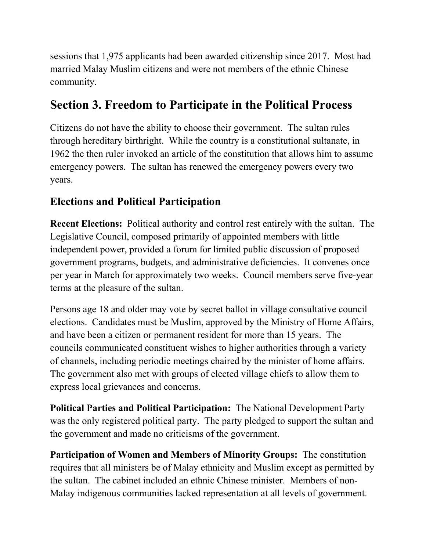sessions that 1,975 applicants had been awarded citizenship since 2017. Most had married Malay Muslim citizens and were not members of the ethnic Chinese community.

## **Section 3. Freedom to Participate in the Political Process**

Citizens do not have the ability to choose their government. The sultan rules through hereditary birthright. While the country is a constitutional sultanate, in 1962 the then ruler invoked an article of the constitution that allows him to assume emergency powers. The sultan has renewed the emergency powers every two years.

### **Elections and Political Participation**

**Recent Elections:** Political authority and control rest entirely with the sultan. The Legislative Council, composed primarily of appointed members with little independent power, provided a forum for limited public discussion of proposed government programs, budgets, and administrative deficiencies. It convenes once per year in March for approximately two weeks. Council members serve five-year terms at the pleasure of the sultan.

Persons age 18 and older may vote by secret ballot in village consultative council elections. Candidates must be Muslim, approved by the Ministry of Home Affairs, and have been a citizen or permanent resident for more than 15 years. The councils communicated constituent wishes to higher authorities through a variety of channels, including periodic meetings chaired by the minister of home affairs. The government also met with groups of elected village chiefs to allow them to express local grievances and concerns.

**Political Parties and Political Participation:** The National Development Party was the only registered political party. The party pledged to support the sultan and the government and made no criticisms of the government.

**Participation of Women and Members of Minority Groups:** The constitution requires that all ministers be of Malay ethnicity and Muslim except as permitted by the sultan. The cabinet included an ethnic Chinese minister. Members of non-Malay indigenous communities lacked representation at all levels of government.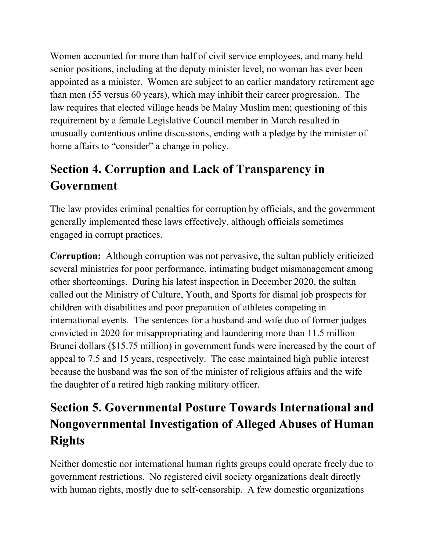Women accounted for more than half of civil service employees, and many held senior positions, including at the deputy minister level; no woman has ever been appointed as a minister. Women are subject to an earlier mandatory retirement age than men (55 versus 60 years), which may inhibit their career progression. The law requires that elected village heads be Malay Muslim men; questioning of this requirement by a female Legislative Council member in March resulted in unusually contentious online discussions, ending with a pledge by the minister of home affairs to "consider" a change in policy.

## **Section 4. Corruption and Lack of Transparency in Government**

The law provides criminal penalties for corruption by officials, and the government generally implemented these laws effectively, although officials sometimes engaged in corrupt practices.

**Corruption:** Although corruption was not pervasive, the sultan publicly criticized several ministries for poor performance, intimating budget mismanagement among other shortcomings. During his latest inspection in December 2020, the sultan called out the Ministry of Culture, Youth, and Sports for dismal job prospects for children with disabilities and poor preparation of athletes competing in international events. The sentences for a husband-and-wife duo of former judges convicted in 2020 for misappropriating and laundering more than 11.5 million Brunei dollars (\$15.75 million) in government funds were increased by the court of appeal to 7.5 and 15 years, respectively. The case maintained high public interest because the husband was the son of the minister of religious affairs and the wife the daughter of a retired high ranking military officer.

# **Section 5. Governmental Posture Towards International and Nongovernmental Investigation of Alleged Abuses of Human Rights**

Neither domestic nor international human rights groups could operate freely due to government restrictions. No registered civil society organizations dealt directly with human rights, mostly due to self-censorship. A few domestic organizations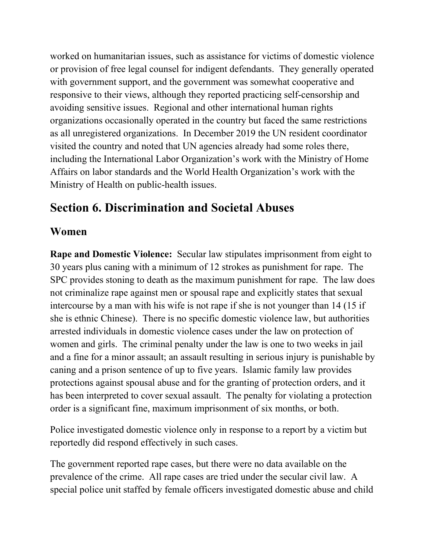worked on humanitarian issues, such as assistance for victims of domestic violence or provision of free legal counsel for indigent defendants. They generally operated with government support, and the government was somewhat cooperative and responsive to their views, although they reported practicing self-censorship and avoiding sensitive issues. Regional and other international human rights organizations occasionally operated in the country but faced the same restrictions as all unregistered organizations. In December 2019 the UN resident coordinator visited the country and noted that UN agencies already had some roles there, including the International Labor Organization's work with the Ministry of Home Affairs on labor standards and the World Health Organization's work with the Ministry of Health on public-health issues.

## **Section 6. Discrimination and Societal Abuses**

#### **Women**

**Rape and Domestic Violence:** Secular law stipulates imprisonment from eight to 30 years plus caning with a minimum of 12 strokes as punishment for rape. The SPC provides stoning to death as the maximum punishment for rape. The law does not criminalize rape against men or spousal rape and explicitly states that sexual intercourse by a man with his wife is not rape if she is not younger than 14 (15 if she is ethnic Chinese). There is no specific domestic violence law, but authorities arrested individuals in domestic violence cases under the law on protection of women and girls. The criminal penalty under the law is one to two weeks in jail and a fine for a minor assault; an assault resulting in serious injury is punishable by caning and a prison sentence of up to five years. Islamic family law provides protections against spousal abuse and for the granting of protection orders, and it has been interpreted to cover sexual assault. The penalty for violating a protection order is a significant fine, maximum imprisonment of six months, or both.

Police investigated domestic violence only in response to a report by a victim but reportedly did respond effectively in such cases.

The government reported rape cases, but there were no data available on the prevalence of the crime. All rape cases are tried under the secular civil law. A special police unit staffed by female officers investigated domestic abuse and child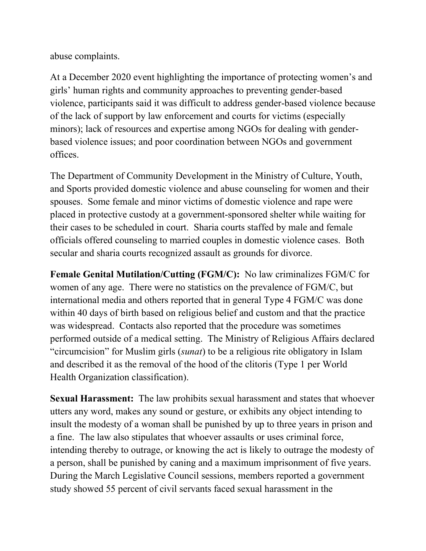abuse complaints.

At a December 2020 event highlighting the importance of protecting women's and girls' human rights and community approaches to preventing gender-based violence, participants said it was difficult to address gender-based violence because of the lack of support by law enforcement and courts for victims (especially minors); lack of resources and expertise among NGOs for dealing with genderbased violence issues; and poor coordination between NGOs and government offices.

The Department of Community Development in the Ministry of Culture, Youth, and Sports provided domestic violence and abuse counseling for women and their spouses. Some female and minor victims of domestic violence and rape were placed in protective custody at a government-sponsored shelter while waiting for their cases to be scheduled in court. Sharia courts staffed by male and female officials offered counseling to married couples in domestic violence cases. Both secular and sharia courts recognized assault as grounds for divorce.

**Female Genital Mutilation/Cutting (FGM/C):** No law criminalizes FGM/C for women of any age. There were no statistics on the prevalence of FGM/C, but international media and others reported that in general Type 4 FGM/C was done within 40 days of birth based on religious belief and custom and that the practice was widespread. Contacts also reported that the procedure was sometimes performed outside of a medical setting. The Ministry of Religious Affairs declared "circumcision" for Muslim girls (*sunat*) to be a religious rite obligatory in Islam and described it as the removal of the hood of the clitoris (Type 1 per World Health Organization classification).

**Sexual Harassment:** The law prohibits sexual harassment and states that whoever utters any word, makes any sound or gesture, or exhibits any object intending to insult the modesty of a woman shall be punished by up to three years in prison and a fine. The law also stipulates that whoever assaults or uses criminal force, intending thereby to outrage, or knowing the act is likely to outrage the modesty of a person, shall be punished by caning and a maximum imprisonment of five years. During the March Legislative Council sessions, members reported a government study showed 55 percent of civil servants faced sexual harassment in the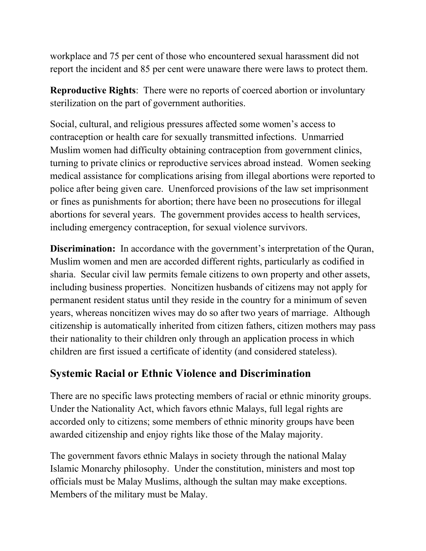workplace and 75 per cent of those who encountered sexual harassment did not report the incident and 85 per cent were unaware there were laws to protect them.

**Reproductive Rights**: There were no reports of coerced abortion or involuntary sterilization on the part of government authorities.

Social, cultural, and religious pressures affected some women's access to contraception or health care for sexually transmitted infections. Unmarried Muslim women had difficulty obtaining contraception from government clinics, turning to private clinics or reproductive services abroad instead. Women seeking medical assistance for complications arising from illegal abortions were reported to police after being given care. Unenforced provisions of the law set imprisonment or fines as punishments for abortion; there have been no prosecutions for illegal abortions for several years. The government provides access to health services, including emergency contraception, for sexual violence survivors.

**Discrimination:** In accordance with the government's interpretation of the Quran, Muslim women and men are accorded different rights, particularly as codified in sharia. Secular civil law permits female citizens to own property and other assets, including business properties. Noncitizen husbands of citizens may not apply for permanent resident status until they reside in the country for a minimum of seven years, whereas noncitizen wives may do so after two years of marriage. Although citizenship is automatically inherited from citizen fathers, citizen mothers may pass their nationality to their children only through an application process in which children are first issued a certificate of identity (and considered stateless).

#### **Systemic Racial or Ethnic Violence and Discrimination**

There are no specific laws protecting members of racial or ethnic minority groups. Under the Nationality Act, which favors ethnic Malays, full legal rights are accorded only to citizens; some members of ethnic minority groups have been awarded citizenship and enjoy rights like those of the Malay majority.

The government favors ethnic Malays in society through the national Malay Islamic Monarchy philosophy. Under the constitution, ministers and most top officials must be Malay Muslims, although the sultan may make exceptions. Members of the military must be Malay.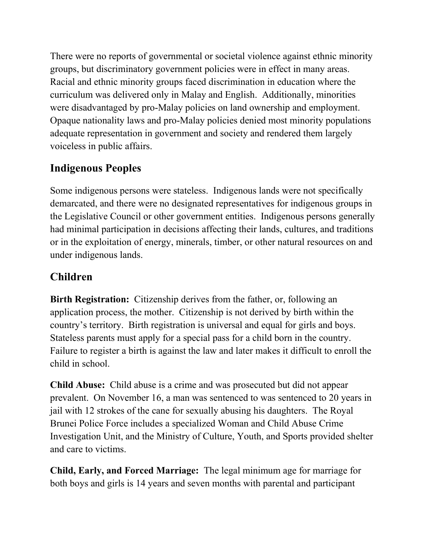There were no reports of governmental or societal violence against ethnic minority groups, but discriminatory government policies were in effect in many areas. Racial and ethnic minority groups faced discrimination in education where the curriculum was delivered only in Malay and English. Additionally, minorities were disadvantaged by pro-Malay policies on land ownership and employment. Opaque nationality laws and pro-Malay policies denied most minority populations adequate representation in government and society and rendered them largely voiceless in public affairs.

#### **Indigenous Peoples**

Some indigenous persons were stateless. Indigenous lands were not specifically demarcated, and there were no designated representatives for indigenous groups in the Legislative Council or other government entities. Indigenous persons generally had minimal participation in decisions affecting their lands, cultures, and traditions or in the exploitation of energy, minerals, timber, or other natural resources on and under indigenous lands.

#### **Children**

**Birth Registration:** Citizenship derives from the father, or, following an application process, the mother. Citizenship is not derived by birth within the country's territory. Birth registration is universal and equal for girls and boys. Stateless parents must apply for a special pass for a child born in the country. Failure to register a birth is against the law and later makes it difficult to enroll the child in school.

**Child Abuse:** Child abuse is a crime and was prosecuted but did not appear prevalent. On November 16, a man was sentenced to was sentenced to 20 years in jail with 12 strokes of the cane for sexually abusing his daughters. The Royal Brunei Police Force includes a specialized Woman and Child Abuse Crime Investigation Unit, and the Ministry of Culture, Youth, and Sports provided shelter and care to victims.

**Child, Early, and Forced Marriage:** The legal minimum age for marriage for both boys and girls is 14 years and seven months with parental and participant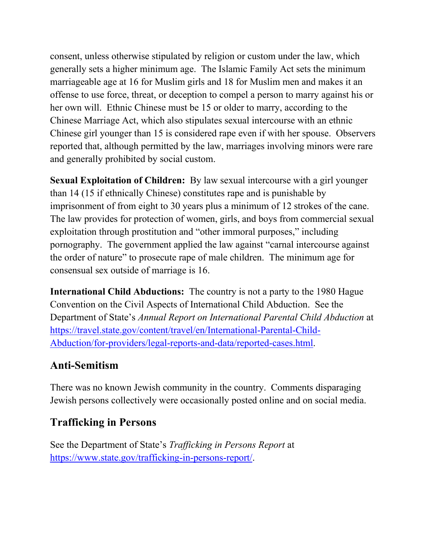consent, unless otherwise stipulated by religion or custom under the law, which generally sets a higher minimum age. The Islamic Family Act sets the minimum marriageable age at 16 for Muslim girls and 18 for Muslim men and makes it an offense to use force, threat, or deception to compel a person to marry against his or her own will. Ethnic Chinese must be 15 or older to marry, according to the Chinese Marriage Act, which also stipulates sexual intercourse with an ethnic Chinese girl younger than 15 is considered rape even if with her spouse. Observers reported that, although permitted by the law, marriages involving minors were rare and generally prohibited by social custom.

**Sexual Exploitation of Children:** By law sexual intercourse with a girl younger than 14 (15 if ethnically Chinese) constitutes rape and is punishable by imprisonment of from eight to 30 years plus a minimum of 12 strokes of the cane. The law provides for protection of women, girls, and boys from commercial sexual exploitation through prostitution and "other immoral purposes," including pornography. The government applied the law against "carnal intercourse against the order of nature" to prosecute rape of male children. The minimum age for consensual sex outside of marriage is 16.

**International Child Abductions:** The country is not a party to the 1980 Hague Convention on the Civil Aspects of International Child Abduction. See the Department of State's *Annual Report on International Parental Child Abduction* at [https://travel.state.gov/content/travel/en/International-Parental-Child-](https://travel.state.gov/content/travel/en/International-Parental-Child-Abduction/for-providers/legal-reports-and-data/reported-cases.html)[Abduction/for-providers/legal-reports-and-data/reported-cases.html.](https://travel.state.gov/content/travel/en/International-Parental-Child-Abduction/for-providers/legal-reports-and-data/reported-cases.html)

#### **Anti-Semitism**

There was no known Jewish community in the country. Comments disparaging Jewish persons collectively were occasionally posted online and on social media.

#### **Trafficking in Persons**

See the Department of State's *Trafficking in Persons Report* at [https://www.state.gov/trafficking-in-persons-report/.](http://www.state.gov/trafficking-in-persons-report/)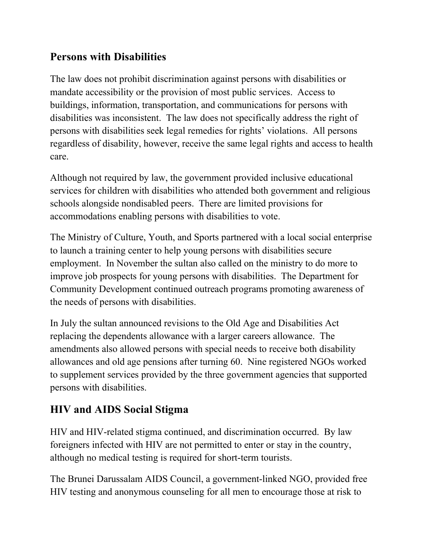#### **Persons with Disabilities**

The law does not prohibit discrimination against persons with disabilities or mandate accessibility or the provision of most public services. Access to buildings, information, transportation, and communications for persons with disabilities was inconsistent. The law does not specifically address the right of persons with disabilities seek legal remedies for rights' violations. All persons regardless of disability, however, receive the same legal rights and access to health care.

Although not required by law, the government provided inclusive educational services for children with disabilities who attended both government and religious schools alongside nondisabled peers. There are limited provisions for accommodations enabling persons with disabilities to vote.

The Ministry of Culture, Youth, and Sports partnered with a local social enterprise to launch a training center to help young persons with disabilities secure employment. In November the sultan also called on the ministry to do more to improve job prospects for young persons with disabilities. The Department for Community Development continued outreach programs promoting awareness of the needs of persons with disabilities.

In July the sultan announced revisions to the Old Age and Disabilities Act replacing the dependents allowance with a larger careers allowance. The amendments also allowed persons with special needs to receive both disability allowances and old age pensions after turning 60. Nine registered NGOs worked to supplement services provided by the three government agencies that supported persons with disabilities.

## **HIV and AIDS Social Stigma**

HIV and HIV-related stigma continued, and discrimination occurred. By law foreigners infected with HIV are not permitted to enter or stay in the country, although no medical testing is required for short-term tourists.

The Brunei Darussalam AIDS Council, a government-linked NGO, provided free HIV testing and anonymous counseling for all men to encourage those at risk to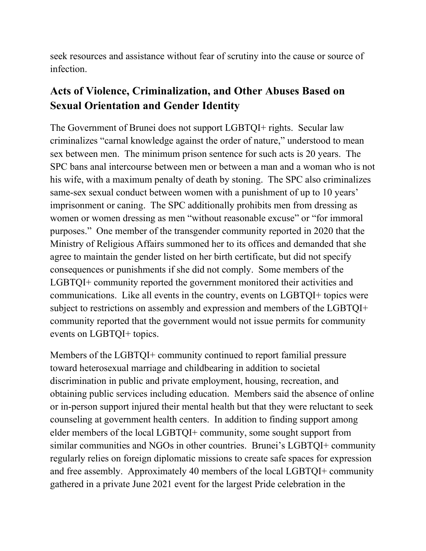seek resources and assistance without fear of scrutiny into the cause or source of infection.

#### **Acts of Violence, Criminalization, and Other Abuses Based on Sexual Orientation and Gender Identity**

The Government of Brunei does not support LGBTQI+ rights. Secular law criminalizes "carnal knowledge against the order of nature," understood to mean sex between men. The minimum prison sentence for such acts is 20 years. The SPC bans anal intercourse between men or between a man and a woman who is not his wife, with a maximum penalty of death by stoning. The SPC also criminalizes same-sex sexual conduct between women with a punishment of up to 10 years' imprisonment or caning. The SPC additionally prohibits men from dressing as women or women dressing as men "without reasonable excuse" or "for immoral purposes." One member of the transgender community reported in 2020 that the Ministry of Religious Affairs summoned her to its offices and demanded that she agree to maintain the gender listed on her birth certificate, but did not specify consequences or punishments if she did not comply. Some members of the LGBTQI+ community reported the government monitored their activities and communications. Like all events in the country, events on LGBTQI+ topics were subject to restrictions on assembly and expression and members of the LGBTQI+ community reported that the government would not issue permits for community events on LGBTQI+ topics.

Members of the LGBTQI+ community continued to report familial pressure toward heterosexual marriage and childbearing in addition to societal discrimination in public and private employment, housing, recreation, and obtaining public services including education. Members said the absence of online or in-person support injured their mental health but that they were reluctant to seek counseling at government health centers. In addition to finding support among elder members of the local LGBTQI+ community, some sought support from similar communities and NGOs in other countries. Brunei's LGBTQI+ community regularly relies on foreign diplomatic missions to create safe spaces for expression and free assembly. Approximately 40 members of the local LGBTQI+ community gathered in a private June 2021 event for the largest Pride celebration in the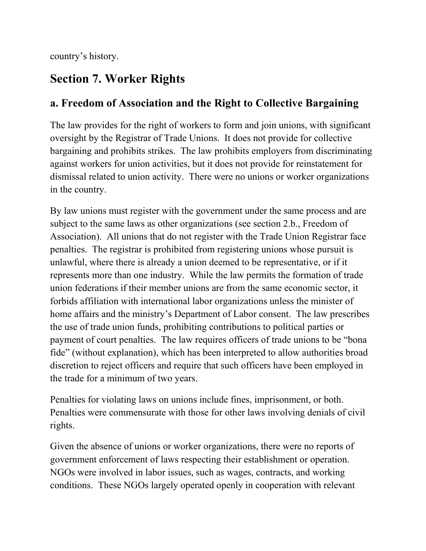country's history.

## **Section 7. Worker Rights**

#### **a. Freedom of Association and the Right to Collective Bargaining**

The law provides for the right of workers to form and join unions, with significant oversight by the Registrar of Trade Unions. It does not provide for collective bargaining and prohibits strikes. The law prohibits employers from discriminating against workers for union activities, but it does not provide for reinstatement for dismissal related to union activity. There were no unions or worker organizations in the country.

By law unions must register with the government under the same process and are subject to the same laws as other organizations (see section 2.b., Freedom of Association). All unions that do not register with the Trade Union Registrar face penalties. The registrar is prohibited from registering unions whose pursuit is unlawful, where there is already a union deemed to be representative, or if it represents more than one industry. While the law permits the formation of trade union federations if their member unions are from the same economic sector, it forbids affiliation with international labor organizations unless the minister of home affairs and the ministry's Department of Labor consent. The law prescribes the use of trade union funds, prohibiting contributions to political parties or payment of court penalties. The law requires officers of trade unions to be "bona fide" (without explanation), which has been interpreted to allow authorities broad discretion to reject officers and require that such officers have been employed in the trade for a minimum of two years.

Penalties for violating laws on unions include fines, imprisonment, or both. Penalties were commensurate with those for other laws involving denials of civil rights.

Given the absence of unions or worker organizations, there were no reports of government enforcement of laws respecting their establishment or operation. NGOs were involved in labor issues, such as wages, contracts, and working conditions. These NGOs largely operated openly in cooperation with relevant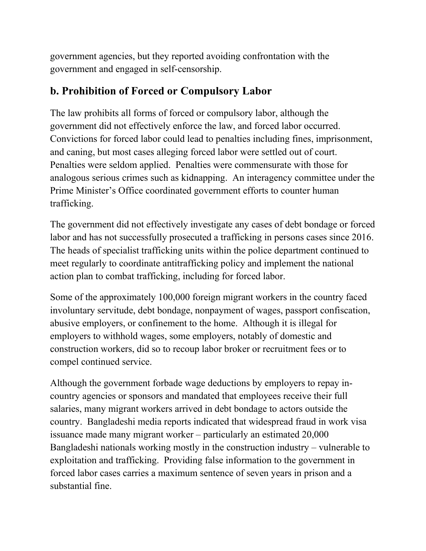government agencies, but they reported avoiding confrontation with the government and engaged in self-censorship.

#### **b. Prohibition of Forced or Compulsory Labor**

The law prohibits all forms of forced or compulsory labor, although the government did not effectively enforce the law, and forced labor occurred. Convictions for forced labor could lead to penalties including fines, imprisonment, and caning, but most cases alleging forced labor were settled out of court. Penalties were seldom applied. Penalties were commensurate with those for analogous serious crimes such as kidnapping. An interagency committee under the Prime Minister's Office coordinated government efforts to counter human trafficking.

The government did not effectively investigate any cases of debt bondage or forced labor and has not successfully prosecuted a trafficking in persons cases since 2016. The heads of specialist trafficking units within the police department continued to meet regularly to coordinate antitrafficking policy and implement the national action plan to combat trafficking, including for forced labor.

Some of the approximately 100,000 foreign migrant workers in the country faced involuntary servitude, debt bondage, nonpayment of wages, passport confiscation, abusive employers, or confinement to the home. Although it is illegal for employers to withhold wages, some employers, notably of domestic and construction workers, did so to recoup labor broker or recruitment fees or to compel continued service.

Although the government forbade wage deductions by employers to repay incountry agencies or sponsors and mandated that employees receive their full salaries, many migrant workers arrived in debt bondage to actors outside the country. Bangladeshi media reports indicated that widespread fraud in work visa issuance made many migrant worker – particularly an estimated 20,000 Bangladeshi nationals working mostly in the construction industry – vulnerable to exploitation and trafficking. Providing false information to the government in forced labor cases carries a maximum sentence of seven years in prison and a substantial fine.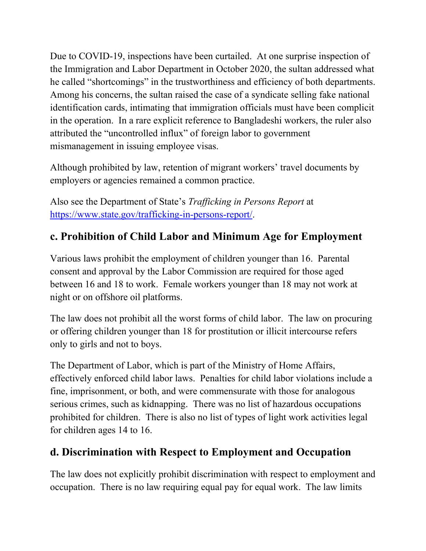Due to COVID-19, inspections have been curtailed. At one surprise inspection of the Immigration and Labor Department in October 2020, the sultan addressed what he called "shortcomings" in the trustworthiness and efficiency of both departments. Among his concerns, the sultan raised the case of a syndicate selling fake national identification cards, intimating that immigration officials must have been complicit in the operation. In a rare explicit reference to Bangladeshi workers, the ruler also attributed the "uncontrolled influx" of foreign labor to government mismanagement in issuing employee visas.

Although prohibited by law, retention of migrant workers' travel documents by employers or agencies remained a common practice.

Also see the Department of State's *Trafficking in Persons Report* at [https://www.state.gov/trafficking-in-persons-report/.](https://www.state.gov/trafficking-in-persons-report/)

#### **c. Prohibition of Child Labor and Minimum Age for Employment**

Various laws prohibit the employment of children younger than 16. Parental consent and approval by the Labor Commission are required for those aged between 16 and 18 to work. Female workers younger than 18 may not work at night or on offshore oil platforms.

The law does not prohibit all the worst forms of child labor. The law on procuring or offering children younger than 18 for prostitution or illicit intercourse refers only to girls and not to boys.

The Department of Labor, which is part of the Ministry of Home Affairs, effectively enforced child labor laws. Penalties for child labor violations include a fine, imprisonment, or both, and were commensurate with those for analogous serious crimes, such as kidnapping. There was no list of hazardous occupations prohibited for children. There is also no list of types of light work activities legal for children ages 14 to 16.

#### **d. Discrimination with Respect to Employment and Occupation**

The law does not explicitly prohibit discrimination with respect to employment and occupation. There is no law requiring equal pay for equal work. The law limits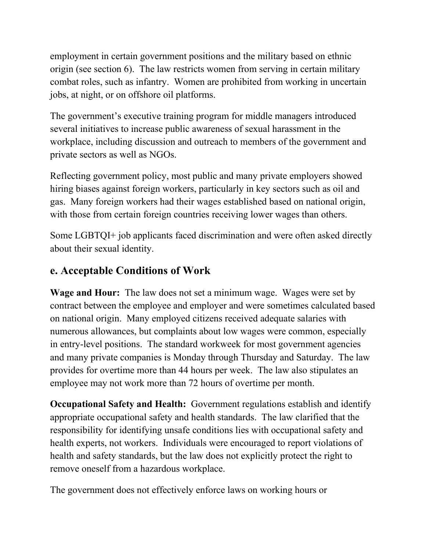employment in certain government positions and the military based on ethnic origin (see section 6). The law restricts women from serving in certain military combat roles, such as infantry. Women are prohibited from working in uncertain jobs, at night, or on offshore oil platforms.

The government's executive training program for middle managers introduced several initiatives to increase public awareness of sexual harassment in the workplace, including discussion and outreach to members of the government and private sectors as well as NGOs.

Reflecting government policy, most public and many private employers showed hiring biases against foreign workers, particularly in key sectors such as oil and gas. Many foreign workers had their wages established based on national origin, with those from certain foreign countries receiving lower wages than others.

Some LGBTQI+ job applicants faced discrimination and were often asked directly about their sexual identity.

#### **e. Acceptable Conditions of Work**

**Wage and Hour:** The law does not set a minimum wage. Wages were set by contract between the employee and employer and were sometimes calculated based on national origin. Many employed citizens received adequate salaries with numerous allowances, but complaints about low wages were common, especially in entry-level positions. The standard workweek for most government agencies and many private companies is Monday through Thursday and Saturday. The law provides for overtime more than 44 hours per week. The law also stipulates an employee may not work more than 72 hours of overtime per month.

**Occupational Safety and Health:** Government regulations establish and identify appropriate occupational safety and health standards. The law clarified that the responsibility for identifying unsafe conditions lies with occupational safety and health experts, not workers. Individuals were encouraged to report violations of health and safety standards, but the law does not explicitly protect the right to remove oneself from a hazardous workplace.

The government does not effectively enforce laws on working hours or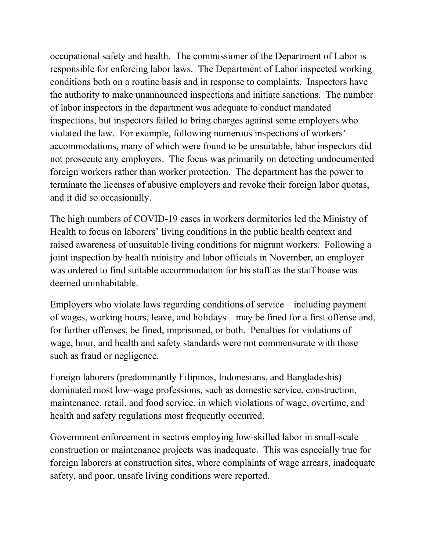occupational safety and health. The commissioner of the Department of Labor is responsible for enforcing labor laws. The Department of Labor inspected working conditions both on a routine basis and in response to complaints. Inspectors have the authority to make unannounced inspections and initiate sanctions. The number of labor inspectors in the department was adequate to conduct mandated inspections, but inspectors failed to bring charges against some employers who violated the law. For example, following numerous inspections of workers' accommodations, many of which were found to be unsuitable, labor inspectors did not prosecute any employers. The focus was primarily on detecting undocumented foreign workers rather than worker protection. The department has the power to terminate the licenses of abusive employers and revoke their foreign labor quotas, and it did so occasionally.

The high numbers of COVID-19 cases in workers dormitories led the Ministry of Health to focus on laborers' living conditions in the public health context and raised awareness of unsuitable living conditions for migrant workers. Following a joint inspection by health ministry and labor officials in November, an employer was ordered to find suitable accommodation for his staff as the staff house was deemed uninhabitable.

Employers who violate laws regarding conditions of service – including payment of wages, working hours, leave, and holidays – may be fined for a first offense and, for further offenses, be fined, imprisoned, or both. Penalties for violations of wage, hour, and health and safety standards were not commensurate with those such as fraud or negligence.

Foreign laborers (predominantly Filipinos, Indonesians, and Bangladeshis) dominated most low-wage professions, such as domestic service, construction, maintenance, retail, and food service, in which violations of wage, overtime, and health and safety regulations most frequently occurred.

Government enforcement in sectors employing low-skilled labor in small-scale construction or maintenance projects was inadequate. This was especially true for foreign laborers at construction sites, where complaints of wage arrears, inadequate safety, and poor, unsafe living conditions were reported.